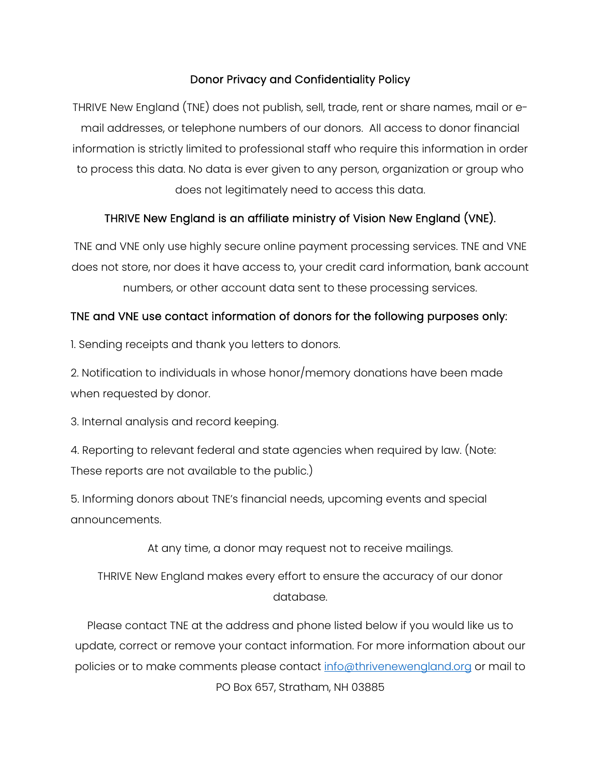# Donor Privacy and Confidentiality Policy

THRIVE New England (TNE) does not publish, sell, trade, rent or share names, mail or email addresses, or telephone numbers of our donors. All access to donor financial information is strictly limited to professional staff who require this information in order to process this data. No data is ever given to any person, organization or group who does not legitimately need to access this data.

### THRIVE New England is an affiliate ministry of Vision New England (VNE).

TNE and VNE only use highly secure online payment processing services. TNE and VNE does not store, nor does it have access to, your credit card information, bank account

numbers, or other account data sent to these processing services.

### TNE and VNE use contact information of donors for the following purposes only:

1. Sending receipts and thank you letters to donors.

2. Notification to individuals in whose honor/memory donations have been made when requested by donor.

3. Internal analysis and record keeping.

4. Reporting to relevant federal and state agencies when required by law. (Note: These reports are not available to the public.)

5. Informing donors about TNE's financial needs, upcoming events and special announcements.

At any time, a donor may request not to receive mailings.

THRIVE New England makes every effort to ensure the accuracy of our donor database.

Please contact TNE at the address and phone listed below if you would like us to update, correct or remove your contact information. For more information about our policies or to make comments please contact [info@thrivenewengland.org](mailto:info@thrivenewengland.org) or mail to PO Box 657, Stratham, NH 03885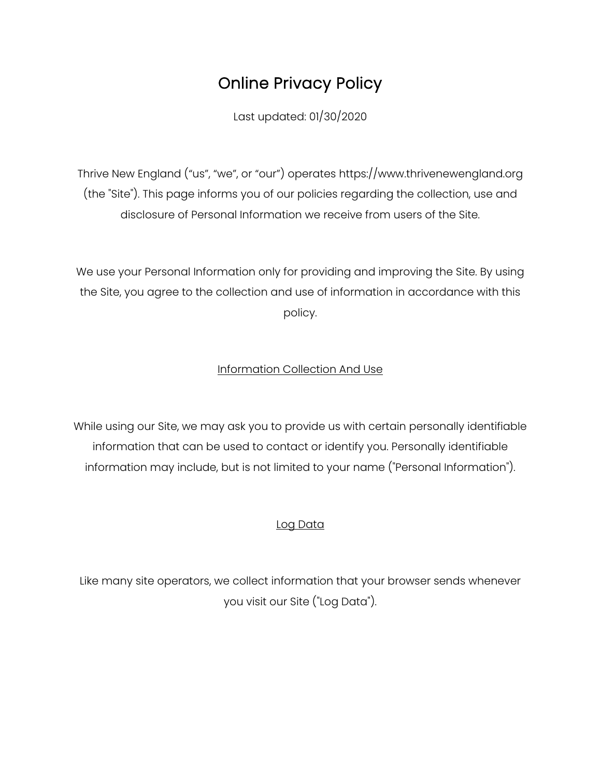# Online Privacy Policy

Last updated: 01/30/2020

Thrive New England ("us", "we", or "our") operates https://www.thrivenewengland.org (the "Site"). This page informs you of our policies regarding the collection, use and disclosure of Personal Information we receive from users of the Site.

We use your Personal Information only for providing and improving the Site. By using the Site, you agree to the collection and use of information in accordance with this policy.

# Information Collection And Use

While using our Site, we may ask you to provide us with certain personally identifiable information that can be used to contact or identify you. Personally identifiable information may include, but is not limited to your name ("Personal Information").

# Log Data

Like many site operators, we collect information that your browser sends whenever you visit our Site ("Log Data").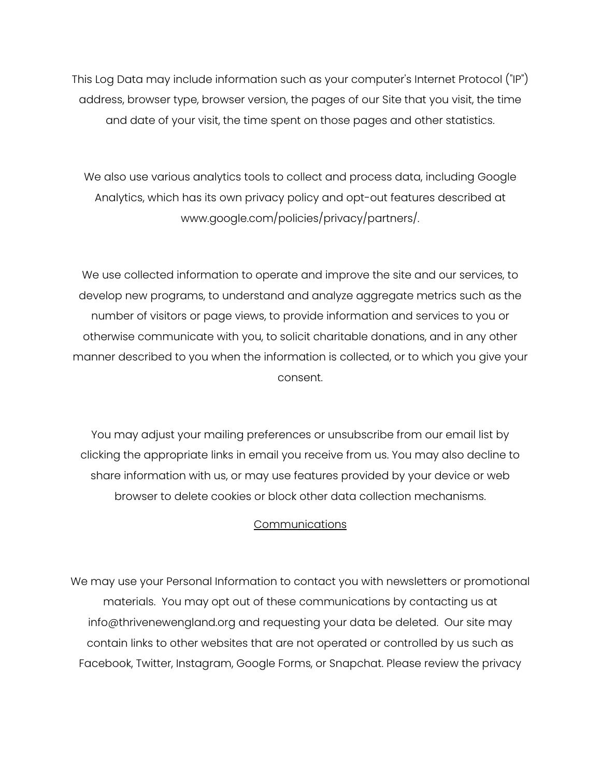This Log Data may include information such as your computer's Internet Protocol ("IP") address, browser type, browser version, the pages of our Site that you visit, the time and date of your visit, the time spent on those pages and other statistics.

We also use various analytics tools to collect and process data, including Google Analytics, which has its own privacy policy and opt-out features described at www.google.com/policies/privacy/partners/.

We use collected information to operate and improve the site and our services, to develop new programs, to understand and analyze aggregate metrics such as the number of visitors or page views, to provide information and services to you or otherwise communicate with you, to solicit charitable donations, and in any other manner described to you when the information is collected, or to which you give your consent.

You may adjust your mailing preferences or unsubscribe from our email list by clicking the appropriate links in email you receive from us. You may also decline to share information with us, or may use features provided by your device or web browser to delete cookies or block other data collection mechanisms.

#### Communications

We may use your Personal Information to contact you with newsletters or promotional materials. You may opt out of these communications by contacting us at info@thrivenewengland.org and requesting your data be deleted. Our site may contain links to other websites that are not operated or controlled by us such as Facebook, Twitter, Instagram, Google Forms, or Snapchat. Please review the privacy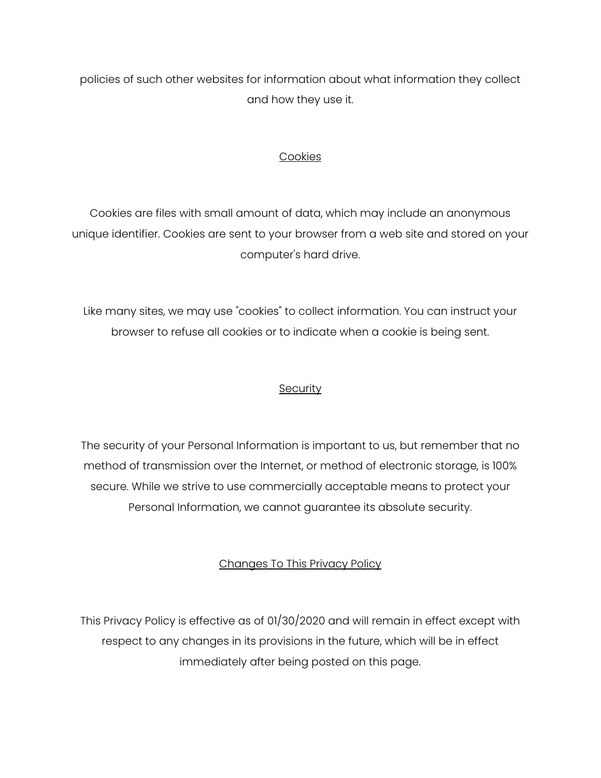policies of such other websites for information about what information they collect and how they use it.

#### **Cookies**

Cookies are files with small amount of data, which may include an anonymous unique identifier. Cookies are sent to your browser from a web site and stored on your computer's hard drive.

Like many sites, we may use "cookies" to collect information. You can instruct your browser to refuse all cookies or to indicate when a cookie is being sent.

#### **Security**

The security of your Personal Information is important to us, but remember that no method of transmission over the Internet, or method of electronic storage, is 100% secure. While we strive to use commercially acceptable means to protect your Personal Information, we cannot guarantee its absolute security.

# Changes To This Privacy Policy

This Privacy Policy is effective as of 01/30/2020 and will remain in effect except with respect to any changes in its provisions in the future, which will be in effect immediately after being posted on this page.